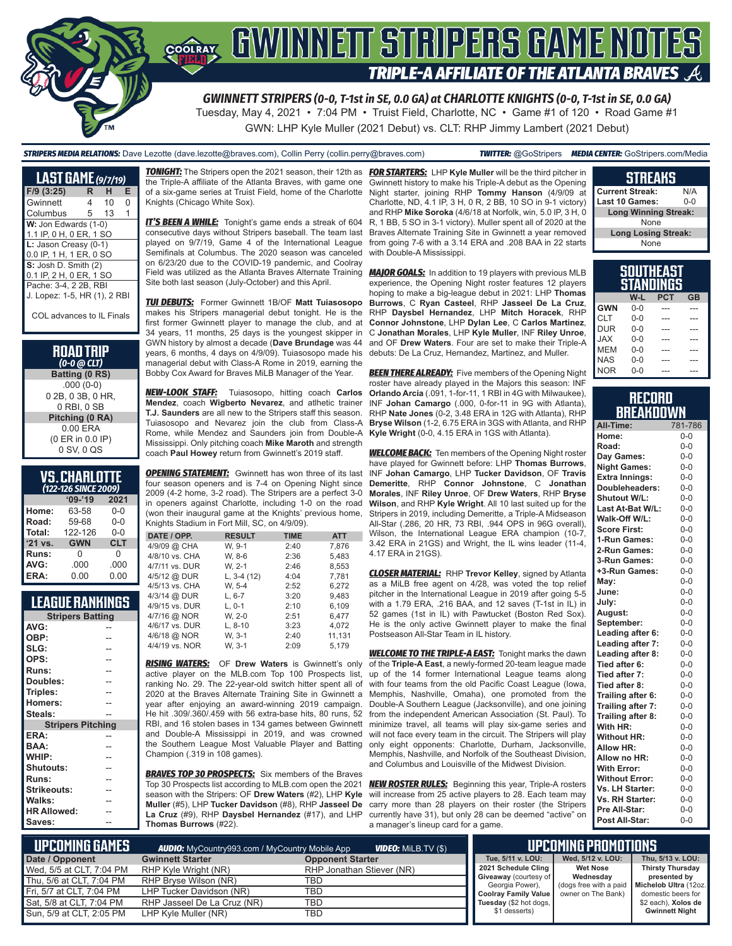

Tuesday, May 4, 2021 • 7:04 PM • Truist Field, Charlotte, NC • Game #1 of 120 • Road Game #1 GWN: LHP Kyle Muller (2021 Debut) vs. CLT: RHP Jimmy Lambert (2021 Debut)

#### *STRIPERS MEDIA RELATIONS:* Dave Lezotte (dave.lezotte@braves.com), Collin Perry (collin.perry@braves.com) *TWITTER:* @GoStripers *MEDIA CENTER:* GoStripers.com/Media

| <b>LAST GAME</b> (9/7/19)    |   |    |   |
|------------------------------|---|----|---|
| $F/9$ (3:25)                 | R | н  | Е |
| Gwinnett                     | 4 | 10 | 0 |
| Columbus                     | 5 | 13 | 1 |
| W: Jon Edwards (1-0)         |   |    |   |
| 1.1 IP, 0 H, 0 ER, 1 SO      |   |    |   |
| L: Jason Creasy (0-1)        |   |    |   |
| 0.0 IP, 1 H, 1 ER, 0 SO      |   |    |   |
| S: Josh D. Smith (2)         |   |    |   |
| 0.1 IP, 2 H, 0 ER, 1 SO      |   |    |   |
| Pache: 3-4, 2 2B, RBI        |   |    |   |
| J. Lopez: 1-5, HR (1), 2 RBI |   |    |   |
| COL advances to IL Finals    |   |    |   |

**ROAD TRIP**  *(0-0 @ CLT)* **Batting (0 RS)** .000 (0-0) 0 2B, 0 3B, 0 HR, 0 RBI, 0 SB **Pitching (0 RA)** 0.00 ERA (0 ER in 0.0 IP) 0 SV, 0 QS

## **VS. CHARLOTTE**

| (122-126 SINCE 2009) |            |            |  |  |  |  |  |  |
|----------------------|------------|------------|--|--|--|--|--|--|
|                      | $'09-'19$  | 2021       |  |  |  |  |  |  |
| Home:                | 63-58      | $0 - 0$    |  |  |  |  |  |  |
| Road:                | 59-68      | $0 - 0$    |  |  |  |  |  |  |
| Total:               | 122-126    | $0 - 0$    |  |  |  |  |  |  |
| '21 vs.              | <b>GWN</b> | <b>CLT</b> |  |  |  |  |  |  |
| Runs:                | O          | 0          |  |  |  |  |  |  |
| AVG:                 | .000       | .000       |  |  |  |  |  |  |
| ERA:                 | 0.00       | 0.00       |  |  |  |  |  |  |

## **LEAGUE RANKINGS**

| <b>Stripers Batting</b>  |  |  |  |  |  |  |
|--------------------------|--|--|--|--|--|--|
| AVG:                     |  |  |  |  |  |  |
| OBP:                     |  |  |  |  |  |  |
| SLG:                     |  |  |  |  |  |  |
| OPS:                     |  |  |  |  |  |  |
| <b>Runs:</b>             |  |  |  |  |  |  |
| Doubles:                 |  |  |  |  |  |  |
| Triples:                 |  |  |  |  |  |  |
| Homers:                  |  |  |  |  |  |  |
| Steals:                  |  |  |  |  |  |  |
| <b>Stripers Pitching</b> |  |  |  |  |  |  |
| ERA:                     |  |  |  |  |  |  |
| BAA:                     |  |  |  |  |  |  |
| WHIP:                    |  |  |  |  |  |  |
| Shutouts:                |  |  |  |  |  |  |
| Runs:                    |  |  |  |  |  |  |
| <b>Strikeouts:</b>       |  |  |  |  |  |  |
| Walks:                   |  |  |  |  |  |  |
| <b>HR Allowed:</b>       |  |  |  |  |  |  |
| Saves:                   |  |  |  |  |  |  |
|                          |  |  |  |  |  |  |

the Triple-A affiliate of the Atlanta Braves, with game one of a six-game series at Truist Field, home of the Charlotte Night starter, joining RHP **Tommy Hanson** (4/9/09 at Knights (Chicago White Sox).

*IT'S BEEN A WHILE:* Tonight's game ends a streak of 604 consecutive days without Stripers baseball. The team last played on 9/7/19, Game 4 of the International League Semifinals at Columbus. The 2020 season was canceled on 6/23/20 due to the COVID-19 pandemic, and Coolray Field was utilized as the Atlanta Braves Alternate Training Site both last season (July-October) and this April.

*TUI DEBUTS:* Former Gwinnett 1B/OF **Matt Tuiasosopo**  makes his Stripers managerial debut tonight. He is the first former Gwinnett player to manage the club, and at 34 years, 11 months, 25 days is the youngest skipper in GWN history by almost a decade (**Dave Brundage** was 44 years, 6 months, 4 days on 4/9/09). Tuiasosopo made his managerial debut with Class-A Rome in 2019, earning the Bobby Cox Award for Braves MiLB Manager of the Year.

*NEW-LOOK STAFF:* Tuiasosopo, hitting coach **Carlos Mendez**, coach **Wigberto Nevarez**, and atlhetic trainer **T.J. Saunders** are all new to the Stripers staff this season. Tuiasosopo and Nevarez join the club from Class-A Rome, while Mendez and Saunders join from Double-A Mississippi. Only pitching coach **Mike Maroth** and strength coach **Paul Howey** return from Gwinnett's 2019 staff.

**OPENING STATEMENT:** Gwinnett has won three of its last four season openers and is 7-4 on Opening Night since 2009 (4-2 home, 3-2 road). The Stripers are a perfect 3-0 in openers against Charlotte, including 1-0 on the road (won their inaugural game at the Knights' previous home, Knights Stadium in Fort Mill, SC, on 4/9/09).

| DATE / OPP.    | <b>RESULT</b> | <b>TIME</b> | <b>ATT</b> |
|----------------|---------------|-------------|------------|
| 4/9/09 @ CHA   | W. 9-1        | 2:40        | 7.876      |
| 4/8/10 vs. CHA | W, 8-6        | 2:36        | 5,483      |
| 4/7/11 vs. DUR | W. 2-1        | 2:46        | 8,553      |
| 4/5/12 @ DUR   | L, $3-4(12)$  | 4:04        | 7.781      |
| 4/5/13 vs. CHA | W. 5-4        | 2:52        | 6.272      |
| 4/3/14 @ DUR   | $L. 6-7$      | 3:20        | 9,483      |
| 4/9/15 vs. DUR | $L. 0-1$      | 2:10        | 6,109      |
| 4/7/16 @ NOR   | W. 2-0        | 2:51        | 6.477      |
| 4/6/17 vs. DUR | $L. 8-10$     | 3:23        | 4.072      |
| 4/6/18 @ NOR   | W. 3-1        | 2:40        | 11,131     |
| 4/4/19 vs. NOR | W. 3-1        | 2:09        | 5.179      |

*RISING WATERS:* OF **Drew Waters** is Gwinnett's only active player on the MLB.com Top 100 Prospects list, ranking No. 29. The 22-year-old switch hitter spent all of 2020 at the Braves Alternate Training Site in Gwinnett a year after enjoying an award-winning 2019 campaign. He hit .309/.360/.459 with 56 extra-base hits, 80 runs, 52 RBI, and 16 stolen bases in 134 games between Gwinnett and Double-A Mississippi in 2019, and was crowned the Southern League Most Valuable Player and Batting Champion (.319 in 108 games).

*BRAVES TOP 30 PROSPECTS:* Six members of the Braves Top 30 Prospects list according to MLB.com open the 2021 season with the Stripers: OF **Drew Waters** (#2), LHP **Kyle Muller** (#5), LHP **Tucker Davidson** (#8), RHP **Jasseel De La Cruz** (#9), RHP **Daysbel Hernandez** (#17), and LHP **Thomas Burrows** (#22).

*TONIGHT:* The Stripers open the 2021 season, their 12th as *FOR STARTERS:* LHP **Kyle Muller** will be the third pitcher in Gwinnett history to make his Triple-A debut as the Opening Charlotte, ND, 4.1 IP, 3 H, 0 R, 2 BB, 10 SO in 9-1 victory) and RHP **Mike Soroka** (4/6/18 at Norfolk, win, 5.0 IP, 3 H, 0 R, 1 BB, 5 SO in 3-1 victory). Muller spent all of 2020 at the Braves Alternate Training Site in Gwinnett a year removed from going 7-6 with a 3.14 ERA and .208 BAA in 22 starts with Double-A Mississippi.

> *MAJOR GOALS:* In addition to 19 players with previous MLB experience, the Opening Night roster features 12 players hoping to make a big-league debut in 2021: LHP **Thomas Burrows**, C **Ryan Casteel**, RHP **Jasseel De La Cruz**, RHP **Daysbel Hernandez**, LHP **Mitch Horacek**, RHP **Connor Johnstone**, LHP **Dylan Lee**, C **Carlos Martinez**, C **Jonathan Morales**, LHP **Kyle Muller**, INF **Riley Unroe**, and OF **Drew Waters**. Four are set to make their Triple-A debuts: De La Cruz, Hernandez, Martinez, and Muller.

> **BEEN THERE ALREADY:** Five members of the Opening Night roster have already played in the Majors this season: INF **Orlando Arcia** (.091, 1-for-11, 1 RBI in 4G with Milwaukee), INF **Johan Camargo** (.000, 0-for-11 in 9G with Atlanta), RHP **Nate Jones** (0-2, 3.48 ERA in 12G with Atlanta), RHP **Bryse Wilson** (1-2, 6.75 ERA in 3GS with Atlanta, and RHP **Kyle Wright** (0-0, 4.15 ERA in 1GS with Atlanta).

> **WELCOME BACK:** Ten members of the Opening Night roster have played for Gwinnett before: LHP **Thomas Burrows**, INF **Johan Camargo**, LHP **Tucker Davidson**, OF **Travis Demeritte**, RHP **Connor Johnstone**, C **Jonathan Morales**, INF **Riley Unroe**, OF **Drew Waters**, RHP **Bryse Wilson**, and RHP **Kyle Wright**. All 10 last suited up for the Stripers in 2019, including Demeritte, a Triple-A Midseason All-Star (.286, 20 HR, 73 RBI, .944 OPS in 96G overall), Wilson, the International League ERA champion (10-7, 3.42 ERA in 21GS) and Wright, the IL wins leader (11-4, 4.17 ERA in 21GS).

> *CLOSER MATERIAL:* RHP **Trevor Kelley**, signed by Atlanta as a MiLB free agent on 4/28, was voted the top relief pitcher in the International League in 2019 after going 5-5 with a 1.79 ERA, .216 BAA, and 12 saves  $(T-1)$  in  $IL$ ) in 52 games (1st in IL) with Pawtucket (Boston Red Sox). He is the only active Gwinnett player to make the final Postseason All-Star Team in IL history.

> **WELCOME TO THE TRIPLE-A EAST:** Tonight marks the dawn of the **Triple-A East**, a newly-formed 20-team league made up of the 14 former International League teams along with four teams from the old Pacific Coast League (lowa, Memphis, Nashville, Omaha), one promoted from the Double-A Southern League (Jacksonville), and one joining from the independent American Association (St. Paul). To minimize travel, all teams will play six-game series and will not face every team in the circuit. The Stripers will play only eight opponents: Charlotte, Durham, Jacksonville, Memphis, Nashville, and Norfolk of the Southeast Division, and Columbus and Louisville of the Midwest Division.

> *NEW ROSTER RULES:* Beginning this year, Triple-A rosters will increase from 25 active players to 28. Each team may carry more than 28 players on their roster (the Stripers currently have 31), but only 28 can be deemed "active" on a manager's lineup card for a game.

| <u>STREAKS</u>              |     |  |  |  |  |  |
|-----------------------------|-----|--|--|--|--|--|
| <b>Current Streak:</b>      | N/A |  |  |  |  |  |
| Last 10 Games:              | ი-ი |  |  |  |  |  |
| <b>Long Winning Streak:</b> |     |  |  |  |  |  |
| None                        |     |  |  |  |  |  |
| <b>Long Losing Streak:</b>  |     |  |  |  |  |  |
| None                        |     |  |  |  |  |  |
|                             |     |  |  |  |  |  |

|            | uuunilaun<br>STANDINGS |            |           |
|------------|------------------------|------------|-----------|
|            | W-L                    | <b>PCT</b> | <b>GB</b> |
| <b>GWN</b> | 0-0                    |            |           |
| <b>CLT</b> | $0 - 0$                |            |           |
| <b>DUR</b> | $0 - 0$                |            |           |
| <b>JAX</b> | $0 - 0$                | .          |           |
| <b>MEM</b> | $0 - 0$                |            |           |
| <b>NAS</b> | $0 - 0$                |            |           |
| <b>NOR</b> | $0 - 0$                |            |           |

**SOUTHEAST** 

#### **RECORD BREAKDOWN**

| All-Time:             | 781-786 |
|-----------------------|---------|
| Home:                 | $0 - 0$ |
| Road:                 | $0 - 0$ |
| Day Games:            | $0-0$   |
| <b>Night Games:</b>   | $0-0$   |
| <b>Extra Innings:</b> | $0-0$   |
| Doubleheaders:        | $0-0$   |
| Shutout W/L:          | $0-0$   |
| Last At-Bat W/L:      | $0-0$   |
| Walk-Off W/L:         | $0 - 0$ |
| <b>Score First:</b>   | $0 - 0$ |
| 1-Run Games:          | $0 - 0$ |
| 2-Run Games:          | $0-0$   |
| 3-Run Games:          | $0-0$   |
| +3-Run Games:         | $0-0$   |
| May:                  | $0-0$   |
| June:                 | $0 - 0$ |
| July:                 | $0 - 0$ |
| August:               | $0-0$   |
| September:            | $0-0$   |
| Leading after 6:      | $0-0$   |
| Leading after 7:      | $0 - 0$ |
| Leading after 8:      | $0-0$   |
| Tied after 6:         | $0 - 0$ |
| Tied after 7:         | $0 - 0$ |
| Tied after 8:         | $0 - 0$ |
| Trailing after 6:     | $0 - 0$ |
| Trailing after 7:     | $0 - 0$ |
| Trailing after 8:     | $0 - 0$ |
| With HR:              | $0-0$   |
| <b>Without HR:</b>    | $0 - 0$ |
| <b>Allow HR:</b>      | $0 - 0$ |
| Allow no HR:          | $0 - 0$ |
| <b>With Error:</b>    | $0-0$   |
| <b>Without Error:</b> | $0-0$   |
| Vs. LH Starter:       | $0-0$   |
| Vs. RH Starter:       | $0 - 0$ |
| Pre All-Star:         | $0 - 0$ |
| Post All-Star:        | $0 - 0$ |

| L UPCOMIÑG GAMES <b>\</b> | <b>AUDIO:</b> MyCountry993.com / MyCountry Mobile App | UPCOMING PROMOTIONS       |                                                 |                                                             |                            |  |
|---------------------------|-------------------------------------------------------|---------------------------|-------------------------------------------------|-------------------------------------------------------------|----------------------------|--|
| Date / Opponent           | <b>Gwinnett Starter</b>                               | <b>Opponent Starter</b>   | Tue, 5/11 v. LOU:                               | Wed. 5/12 v. LOU:                                           | Thu, 5/13 v. LOU:          |  |
| Wed, 5/5 at CLT, 7:04 PM  | RHP Kyle Wright (NR)                                  | RHP Jonathan Stiever (NR) | 2021 Schedule Cling                             | <b>Wet Nose</b>                                             | <b>Thirsty Thursday</b>    |  |
| Thu, 5/6 at CLT, 7:04 PM  | RHP Bryse Wilson (NR)                                 | TBD                       | <b>Giveaway</b> (courtesy of<br>Georgia Power), | Wednesdav<br>(dogs free with a paid   Michelob Ultra (12oz. | presented by               |  |
| Fri. 5/7 at CLT. 7:04 PM  | LHP Tucker Davidson (NR)                              | TBD                       | Coolray Family Value                            | owner on The Bank)                                          | domestic beers for         |  |
| Sat, 5/8 at CLT, 7:04 PM  | RHP Jasseel De La Cruz (NR)                           | TBD                       | Tuesday (\$2 hot dogs,                          |                                                             | \$2 each), <b>Xolos de</b> |  |
| Sun, 5/9 at CLT, 2:05 PM  | LHP Kyle Muller (NR)                                  | TBD                       | \$1 desserts)                                   |                                                             | <b>Gwinnett Night</b>      |  |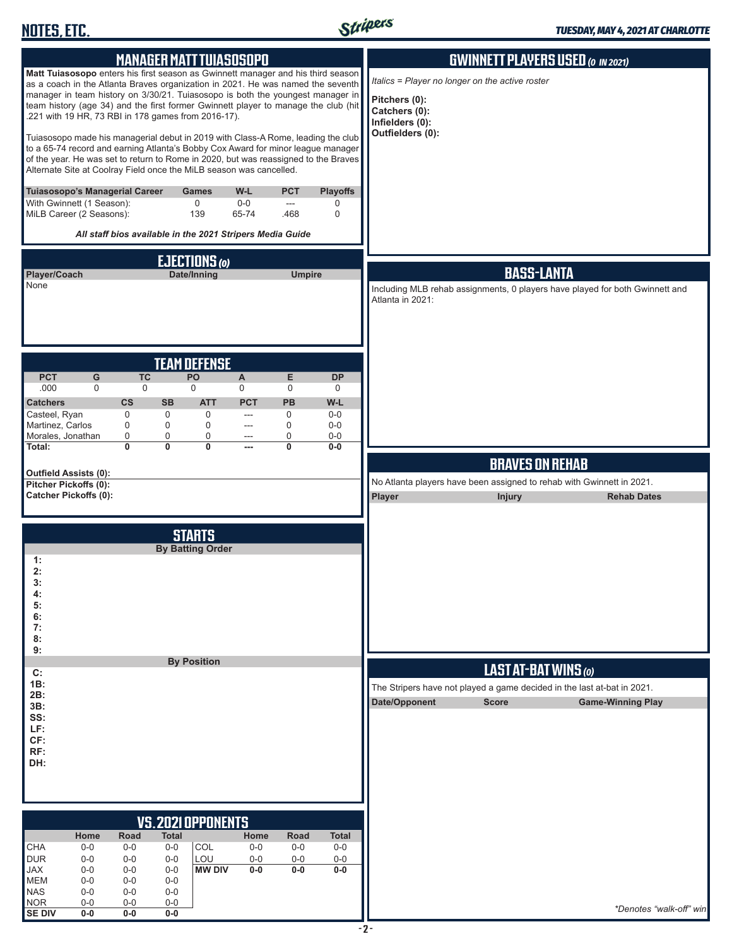

| <b>MANAGER MATT TUIASOSOPO</b>                                                                                                                                                                                                                                                                                                                                                                     |                                                           |                                    |                                |                                     |                                     | <b>GWINNETT PLAYERS USED (O IN 2021)</b>                                                                               |
|----------------------------------------------------------------------------------------------------------------------------------------------------------------------------------------------------------------------------------------------------------------------------------------------------------------------------------------------------------------------------------------------------|-----------------------------------------------------------|------------------------------------|--------------------------------|-------------------------------------|-------------------------------------|------------------------------------------------------------------------------------------------------------------------|
| Matt Tuiasosopo enters his first season as Gwinnett manager and his third season<br>as a coach in the Atlanta Braves organization in 2021. He was named the seventh<br>manager in team history on 3/30/21. Tuiasosopo is both the youngest manager in<br>team history (age 34) and the first former Gwinnett player to manage the club (hit<br>.221 with 19 HR, 73 RBI in 178 games from 2016-17). |                                                           |                                    |                                |                                     |                                     | Italics = Player no longer on the active roster<br>Pitchers (0):<br>Catchers (0):<br>Infielders (0):                   |
| Tuiasosopo made his managerial debut in 2019 with Class-A Rome, leading the club<br>to a 65-74 record and earning Atlanta's Bobby Cox Award for minor league manager<br>of the year. He was set to return to Rome in 2020, but was reassigned to the Braves<br>Alternate Site at Coolray Field once the MiLB season was cancelled.                                                                 |                                                           |                                    |                                |                                     |                                     | Outfielders (0):                                                                                                       |
| Tuiasosopo's Managerial Career<br>With Gwinnett (1 Season):<br>MiLB Career (2 Seasons):                                                                                                                                                                                                                                                                                                            |                                                           | <b>Games</b><br>$\mathbf 0$<br>139 | W-L<br>$0-0$<br>65-74          | <b>PCT</b><br>$\frac{1}{2}$<br>.468 | <b>Playoffs</b><br>0<br>$\mathbf 0$ |                                                                                                                        |
|                                                                                                                                                                                                                                                                                                                                                                                                    | All staff bios available in the 2021 Stripers Media Guide |                                    |                                |                                     |                                     |                                                                                                                        |
|                                                                                                                                                                                                                                                                                                                                                                                                    |                                                           | EJECTIONS (0)                      |                                |                                     |                                     |                                                                                                                        |
| Player/Coach<br>None                                                                                                                                                                                                                                                                                                                                                                               |                                                           | Date/Inning                        |                                | <b>Umpire</b>                       |                                     | <b>BASS-LANTA</b><br>Including MLB rehab assignments, 0 players have played for both Gwinnett and<br>Atlanta in 2021:  |
|                                                                                                                                                                                                                                                                                                                                                                                                    |                                                           | <b>TEAM DEFENSE</b>                |                                |                                     |                                     |                                                                                                                        |
| <b>PCT</b><br>G<br>.000<br>$\mathbf 0$                                                                                                                                                                                                                                                                                                                                                             | <b>TC</b><br>$\Omega$                                     | PO<br>$\Omega$                     | $\boldsymbol{\mathsf{A}}$<br>0 | E<br>$\mathbf 0$                    | <b>DP</b><br>$\mathbf 0$            |                                                                                                                        |
| <b>Catchers</b><br>Casteel, Ryan                                                                                                                                                                                                                                                                                                                                                                   | $\mathsf{cs}$<br><b>SB</b><br>$\mathbf 0$<br>0            | <b>ATT</b><br>$\mathbf 0$          | <b>PCT</b><br>$\overline{a}$   | PB<br>$\mathbf 0$                   | W-L<br>$0-0$                        |                                                                                                                        |
| Martinez, Carlos<br>Morales, Jonathan                                                                                                                                                                                                                                                                                                                                                              | $\mathbf 0$<br>0<br>0<br>0                                | $\mathbf 0$<br>0                   | $\overline{a}$<br>---          | $\mathbf 0$<br>0                    | $0-0$<br>$0-0$                      |                                                                                                                        |
| Total:                                                                                                                                                                                                                                                                                                                                                                                             | $\mathbf{0}$<br>0                                         | 0                                  | $---$                          | $\mathbf{0}$                        | $0-0$                               |                                                                                                                        |
| <b>Outfield Assists (0):</b>                                                                                                                                                                                                                                                                                                                                                                       |                                                           |                                    |                                |                                     |                                     | <b>BRAVES ON REHAB</b>                                                                                                 |
| Pitcher Pickoffs (0):<br><b>Catcher Pickoffs (0):</b>                                                                                                                                                                                                                                                                                                                                              |                                                           |                                    |                                |                                     |                                     | No Atlanta players have been assigned to rehab with Gwinnett in 2021.<br>Player<br><b>Injury</b><br><b>Rehab Dates</b> |
|                                                                                                                                                                                                                                                                                                                                                                                                    |                                                           |                                    |                                |                                     |                                     |                                                                                                                        |
|                                                                                                                                                                                                                                                                                                                                                                                                    |                                                           | <b>STARTS</b>                      |                                |                                     |                                     |                                                                                                                        |
| 1:                                                                                                                                                                                                                                                                                                                                                                                                 |                                                           | <b>By Batting Order</b>            |                                |                                     |                                     |                                                                                                                        |
| 2:<br>3:                                                                                                                                                                                                                                                                                                                                                                                           |                                                           |                                    |                                |                                     |                                     |                                                                                                                        |
| 4:<br>5:                                                                                                                                                                                                                                                                                                                                                                                           |                                                           |                                    |                                |                                     |                                     |                                                                                                                        |
| 6:<br>7:                                                                                                                                                                                                                                                                                                                                                                                           |                                                           |                                    |                                |                                     |                                     |                                                                                                                        |
| 8:<br>9:                                                                                                                                                                                                                                                                                                                                                                                           |                                                           |                                    |                                |                                     |                                     |                                                                                                                        |
| C:                                                                                                                                                                                                                                                                                                                                                                                                 |                                                           | <b>By Position</b>                 |                                |                                     |                                     | LAST AT-BAT WINS (0)                                                                                                   |
| 1B:<br>2B:                                                                                                                                                                                                                                                                                                                                                                                         |                                                           |                                    |                                |                                     |                                     | The Stripers have not played a game decided in the last at-bat in 2021.                                                |
| 3B:<br>SS:                                                                                                                                                                                                                                                                                                                                                                                         |                                                           |                                    |                                |                                     |                                     | Date/Opponent<br><b>Score</b><br><b>Game-Winning Play</b>                                                              |
| LF:<br>CF:                                                                                                                                                                                                                                                                                                                                                                                         |                                                           |                                    |                                |                                     |                                     |                                                                                                                        |
| RF:<br>DH:                                                                                                                                                                                                                                                                                                                                                                                         |                                                           |                                    |                                |                                     |                                     |                                                                                                                        |
|                                                                                                                                                                                                                                                                                                                                                                                                    |                                                           |                                    |                                |                                     |                                     |                                                                                                                        |
|                                                                                                                                                                                                                                                                                                                                                                                                    |                                                           |                                    |                                |                                     |                                     |                                                                                                                        |
|                                                                                                                                                                                                                                                                                                                                                                                                    |                                                           | <b>VS. 2021 OPPONENTS</b>          |                                |                                     |                                     |                                                                                                                        |
| Home<br><b>CHA</b><br>$0-0$                                                                                                                                                                                                                                                                                                                                                                        | <b>Road</b><br><b>Total</b><br>$0-0$<br>$0-0$             | COL                                | Home<br>$0-0$                  | Road<br>$0-0$                       | <b>Total</b><br>$0-0$               |                                                                                                                        |
| <b>DUR</b><br>$0 - 0$                                                                                                                                                                                                                                                                                                                                                                              | $0-0$<br>$0 - 0$                                          | LOU                                | $0-0$                          | $0-0$                               | $0-0$                               |                                                                                                                        |
| <b>JAX</b><br>$0-0$<br><b>MEM</b><br>$0-0$                                                                                                                                                                                                                                                                                                                                                         | $0-0$<br>$0-0$<br>$0-0$<br>$0-0$                          | <b>MW DIV</b>                      | $0-0$                          | 0-0                                 | 0-0                                 |                                                                                                                        |
| <b>NAS</b><br>$0-0$<br><b>NOR</b><br>$0-0$                                                                                                                                                                                                                                                                                                                                                         | $0-0$<br>$0-0$<br>$0-0$<br>$0-0$                          |                                    |                                |                                     |                                     | *Denotes "walk-off" win                                                                                                |
| <b>SE DIV</b><br>$0-0$                                                                                                                                                                                                                                                                                                                                                                             | $0-0$<br>0-0                                              |                                    |                                |                                     |                                     |                                                                                                                        |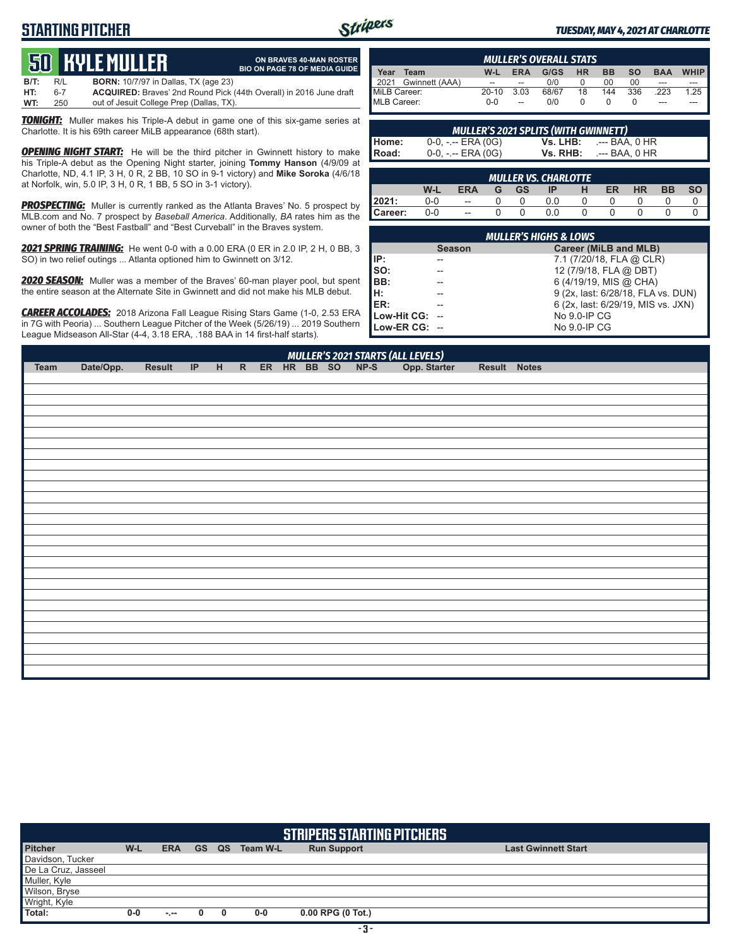## **STARTING PITCHER**



**ON BRAVES 40-MAN ROSTER BIO ON PAGE 78 OF MEDIA GUIDE**

#### *TUESDAY, MAY 4, 2021 AT CHARLOTTE*

# **50****KYLE MULLER**

**B/T:** R/L **BORN:** 10/7/97 in Dallas, TX (age 23) **HT:** 6-7 **ACQUIRED:** Braves' 2nd Round Pick (44th Overall) in 2016 June draft out of Jesuit College Prep (Dallas, TX)

**TONIGHT:** Muller makes his Triple-A debut in game one of this six-game series at Charlotte. It is his 69th career MiLB appearance (68th start).

**OPENING NIGHT START:** He will be the third pitcher in Gwinnett history to make his Triple-A debut as the Opening Night starter, joining **Tommy Hanson** (4/9/09 at Charlotte, ND, 4.1 IP, 3 H, 0 R, 2 BB, 10 SO in 9-1 victory) and **Mike Soroka** (4/6/18 at Norfolk, win, 5.0 IP, 3 H, 0 R, 1 BB, 5 SO in 3-1 victory).

*PROSPECTING:* Muller is currently ranked as the Atlanta Braves' No. 5 prospect by MLB.com and No. 7 prospect by *Baseball America*. Additionally, *BA* rates him as the owner of both the "Best Fastball" and "Best Curveball" in the Braves system.

*2021 SPRING TRAINING:* He went 0-0 with a 0.00 ERA (0 ER in 2.0 IP, 2 H, 0 BB, 3 SO) in two relief outings ... Atlanta optioned him to Gwinnett on 3/12.

*2020 SEASON:* Muller was a member of the Braves' 60-man player pool, but spent the entire season at the Alternate Site in Gwinnett and did not make his MLB debut.

*CAREER ACCOLADES:* 2018 Arizona Fall League Rising Stars Game (1-0, 2.53 ERA in 7G with Peoria) ... Southern League Pitcher of the Week (5/26/19) ... 2019 Southern League Midseason All-Star (4-4, 3.18 ERA, .188 BAA in 14 first-half starts).

| <b>MULLER'S OVERALL STATS</b> |                     |           |                |       |           |           |           |            |       |
|-------------------------------|---------------------|-----------|----------------|-------|-----------|-----------|-----------|------------|-------|
| Year                          | Team                | W-L       | <b>ERA</b>     | G/GS  | <b>HR</b> | <b>BB</b> | <b>SO</b> | <b>BAA</b> | WHIP. |
|                               | 2021 Gwinnett (AAA) | $\sim$    | $\overline{a}$ | 0/0   |           | 00        | 00        | ---        | ---   |
| MiLB Career:                  |                     | $20 - 10$ | 3.03           | 68/67 | 18        | 144       | 336       | 223        | 1.25  |
| MLB Career:                   |                     | $0 - 0$   | $\sim$         | 0/0   |           |           |           | ---        | ---   |

| <b>MULLER'S 2021 SPLITS (WITH GWINNETT)</b> |                       |          |                |  |  |  |  |
|---------------------------------------------|-----------------------|----------|----------------|--|--|--|--|
|                                             | $0-0, - -$ ERA $(0G)$ | Vs. LHB: | .--- BAA. 0 HR |  |  |  |  |
| Home:<br>Road:                              | $0-0, - -$ ERA $(0G)$ | Vs. RHB: | .--- BAA. 0 HR |  |  |  |  |

| MULLER VS. CHARLOTTE |     |                          |   |           |     |  |    |    |    |  |
|----------------------|-----|--------------------------|---|-----------|-----|--|----|----|----|--|
|                      | W-L | <b>ERA</b>               | G | <b>GS</b> | ΙP  |  | ER | HR | ВB |  |
| 12021:               | 0-0 | $\overline{\phantom{a}}$ |   |           | 0.0 |  |    |    |    |  |
| Career:              | 0-0 | $\overline{a}$           |   |           |     |  |    |    |    |  |

| <b>MULLER'S HIGHS &amp; LOWS'</b> |               |                                    |  |  |  |  |  |  |
|-----------------------------------|---------------|------------------------------------|--|--|--|--|--|--|
|                                   | <b>Season</b> | Career (MiLB and MLB)              |  |  |  |  |  |  |
| IIP:                              |               | 7.1 (7/20/18, FLA @ CLR)           |  |  |  |  |  |  |
| So:                               |               | 12 (7/9/18, FLA @ DBT)             |  |  |  |  |  |  |
| BB:                               |               | 6 (4/19/19, MIS @ CHA)             |  |  |  |  |  |  |
| Iн.                               |               | 9 (2x, last: 6/28/18, FLA vs. DUN) |  |  |  |  |  |  |
| <b>IER:</b>                       |               | 6 (2x, last: 6/29/19, MIS vs. JXN) |  |  |  |  |  |  |
| Low-Hit CG: --                    |               | No 9.0-IP CG                       |  |  |  |  |  |  |
| Low-ER CG: --                     |               | No 9.0-IP CG                       |  |  |  |  |  |  |

| Team | Date/Opp. | Result |  |  |  |  | MULLER'S 2021 STARTS (ALL LEVELS)<br>IP H R ER HR BB SO NP-S Opp. Starter | Result Notes |  |
|------|-----------|--------|--|--|--|--|---------------------------------------------------------------------------|--------------|--|
|      |           |        |  |  |  |  |                                                                           |              |  |
|      |           |        |  |  |  |  |                                                                           |              |  |
|      |           |        |  |  |  |  |                                                                           |              |  |
|      |           |        |  |  |  |  |                                                                           |              |  |
|      |           |        |  |  |  |  |                                                                           |              |  |
|      |           |        |  |  |  |  |                                                                           |              |  |
|      |           |        |  |  |  |  |                                                                           |              |  |
|      |           |        |  |  |  |  |                                                                           |              |  |
|      |           |        |  |  |  |  |                                                                           |              |  |
|      |           |        |  |  |  |  |                                                                           |              |  |
|      |           |        |  |  |  |  |                                                                           |              |  |
|      |           |        |  |  |  |  |                                                                           |              |  |
|      |           |        |  |  |  |  |                                                                           |              |  |
|      |           |        |  |  |  |  |                                                                           |              |  |
|      |           |        |  |  |  |  |                                                                           |              |  |
|      |           |        |  |  |  |  |                                                                           |              |  |
|      |           |        |  |  |  |  |                                                                           |              |  |
|      |           |        |  |  |  |  |                                                                           |              |  |
|      |           |        |  |  |  |  |                                                                           |              |  |
|      |           |        |  |  |  |  |                                                                           |              |  |
|      |           |        |  |  |  |  |                                                                           |              |  |
|      |           |        |  |  |  |  |                                                                           |              |  |
|      |           |        |  |  |  |  |                                                                           |              |  |
|      |           |        |  |  |  |  |                                                                           |              |  |
|      |           |        |  |  |  |  |                                                                           |              |  |
|      |           |        |  |  |  |  |                                                                           |              |  |
|      |           |        |  |  |  |  |                                                                           |              |  |
|      |           |        |  |  |  |  |                                                                           |              |  |
|      |           |        |  |  |  |  |                                                                           |              |  |
|      |           |        |  |  |  |  |                                                                           |              |  |
|      |           |        |  |  |  |  |                                                                           |              |  |

| STRIPERS STARTING PITCHERS |       |            |           |    |          |                     |                            |  |  |  |  |
|----------------------------|-------|------------|-----------|----|----------|---------------------|----------------------------|--|--|--|--|
| <b>Pitcher</b>             | W-L   | <b>ERA</b> | <b>GS</b> | QS | Team W-L | <b>Run Support</b>  | <b>Last Gwinnett Start</b> |  |  |  |  |
| Davidson, Tucker           |       |            |           |    |          |                     |                            |  |  |  |  |
| De La Cruz, Jasseel        |       |            |           |    |          |                     |                            |  |  |  |  |
| Muller, Kyle               |       |            |           |    |          |                     |                            |  |  |  |  |
| Wilson, Bryse              |       |            |           |    |          |                     |                            |  |  |  |  |
| Wright, Kyle               |       |            |           |    |          |                     |                            |  |  |  |  |
| Total:                     | $0-0$ | $-1$       |           | 0  | $0-0$    | $0.00$ RPG (0 Tot.) |                            |  |  |  |  |
|                            |       |            |           |    |          |                     |                            |  |  |  |  |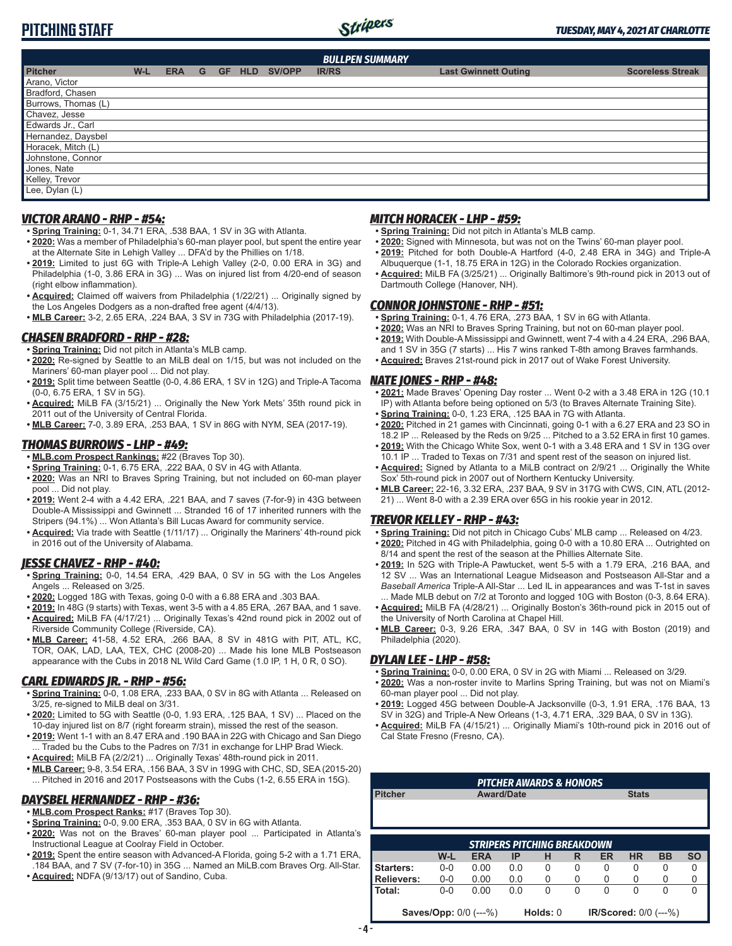# Stripers

#### *TUESDAY, MAY 4, 2021 AT CHARLOTTE*

## **PITCHING STAFF**

| <b>BULLPEN SUMMARY</b> |       |            |   |           |            |        |              |                                                        |  |  |  |
|------------------------|-------|------------|---|-----------|------------|--------|--------------|--------------------------------------------------------|--|--|--|
| <b>Pitcher</b>         | $W-L$ | <b>ERA</b> | G | <b>GF</b> | <b>HLD</b> | SV/OPP | <b>IR/RS</b> | <b>Last Gwinnett Outing</b><br><b>Scoreless Streak</b> |  |  |  |
| Arano, Victor          |       |            |   |           |            |        |              |                                                        |  |  |  |
| Bradford, Chasen       |       |            |   |           |            |        |              |                                                        |  |  |  |
| Burrows, Thomas (L)    |       |            |   |           |            |        |              |                                                        |  |  |  |
| Chavez, Jesse          |       |            |   |           |            |        |              |                                                        |  |  |  |
| Edwards Jr., Carl      |       |            |   |           |            |        |              |                                                        |  |  |  |
| Hernandez, Daysbel     |       |            |   |           |            |        |              |                                                        |  |  |  |
| Horacek, Mitch (L)     |       |            |   |           |            |        |              |                                                        |  |  |  |
| Johnstone, Connor      |       |            |   |           |            |        |              |                                                        |  |  |  |
| Jones, Nate            |       |            |   |           |            |        |              |                                                        |  |  |  |
| Kelley, Trevor         |       |            |   |           |            |        |              |                                                        |  |  |  |
| Lee, Dylan (L)         |       |            |   |           |            |        |              |                                                        |  |  |  |
|                        |       |            |   |           |            |        |              |                                                        |  |  |  |

## *VICTOR ARANO - RHP - #54:*

- **• Spring Training:** 0-1, 34.71 ERA, .538 BAA, 1 SV in 3G with Atlanta.
- **• 2020:** Was a member of Philadelphia's 60-man player pool, but spent the entire year at the Alternate Site in Lehigh Valley ... DFA'd by the Phillies on 1/18.
- **• 2019:** Limited to just 6G with Triple-A Lehigh Valley (2-0, 0.00 ERA in 3G) and Philadelphia (1-0, 3.86 ERA in 3G) ... Was on injured list from 4/20-end of season (right elbow inflammation).
- **• Acquired:** Claimed off waivers from Philadelphia (1/22/21) ... Originally signed by the Los Angeles Dodgers as a non-drafted free agent (4/4/13).
- **• MLB Career:** 3-2, 2.65 ERA, .224 BAA, 3 SV in 73G with Philadelphia (2017-19).

#### *CHASEN BRADFORD - RHP - #28:*

- **• Spring Training:** Did not pitch in Atlanta's MLB camp.
- **• 2020:** Re-signed by Seattle to an MiLB deal on 1/15, but was not included on the Mariners' 60-man player pool ... Did not play.
- **• 2019:** Split time between Seattle (0-0, 4.86 ERA, 1 SV in 12G) and Triple-A Tacoma (0-0, 6.75 ERA, 1 SV in 5G).
- **• Acquired:** MiLB FA (3/15/21) ... Originally the New York Mets' 35th round pick in 2011 out of the University of Central Florida.
- **• MLB Career:** 7-0, 3.89 ERA, .253 BAA, 1 SV in 86G with NYM, SEA (2017-19).

## *THOMAS BURROWS - LHP - #49:*

- **• MLB.com Prospect Rankings:** #22 (Braves Top 30).
- **• Spring Training:** 0-1, 6.75 ERA, .222 BAA, 0 SV in 4G with Atlanta.
- **• 2020:** Was an NRI to Braves Spring Training, but not included on 60-man player pool ... Did not play.
- **• 2019:** Went 2-4 with a 4.42 ERA, .221 BAA, and 7 saves (7-for-9) in 43G between Double-A Mississippi and Gwinnett ... Stranded 16 of 17 inherited runners with the Stripers (94.1%) ... Won Atlanta's Bill Lucas Award for community service.
- **• Acquired:** Via trade with Seattle (1/11/17) ... Originally the Mariners' 4th-round pick in 2016 out of the University of Alabama.

## *JESSE CHAVEZ - RHP - #40:*

- **• Spring Training:** 0-0, 14.54 ERA, .429 BAA, 0 SV in 5G with the Los Angeles Angels ... Released on 3/25.
- **• 2020:** Logged 18G with Texas, going 0-0 with a 6.88 ERA and .303 BAA.
- **• 2019:** In 48G (9 starts) with Texas, went 3-5 with a 4.85 ERA, .267 BAA, and 1 save. **• Acquired:** MiLB FA (4/17/21) ... Originally Texas's 42nd round pick in 2002 out of Riverside Community College (Riverside, CA).
- **• MLB Career:** 41-58, 4.52 ERA, .266 BAA, 8 SV in 481G with PIT, ATL, KC, TOR, OAK, LAD, LAA, TEX, CHC (2008-20) ... Made his lone MLB Postseason appearance with the Cubs in 2018 NL Wild Card Game (1.0 IP, 1 H, 0 R, 0 SO).

## *CARL EDWARDS JR. - RHP - #56:*

- **• Spring Training:** 0-0, 1.08 ERA, .233 BAA, 0 SV in 8G with Atlanta ... Released on 3/25, re-signed to MiLB deal on 3/31.
- **• 2020:** Limited to 5G with Seattle (0-0, 1.93 ERA, .125 BAA, 1 SV) ... Placed on the 10-day injured list on 8/7 (right forearm strain), missed the rest of the season.
- **• 2019:** Went 1-1 with an 8.47 ERA and .190 BAA in 22G with Chicago and San Diego ... Traded bu the Cubs to the Padres on 7/31 in exchange for LHP Brad Wieck.
- **• Acquired:** MiLB FA (2/2/21) ... Originally Texas' 48th-round pick in 2011.
- **• MLB Career:** 9-8, 3.54 ERA, .156 BAA, 3 SV in 199G with CHC, SD, SEA (2015-20) ... Pitched in 2016 and 2017 Postseasons with the Cubs (1-2, 6.55 ERA in 15G).

#### *DAYSBEL HERNANDEZ - RHP - #36:*

- **• MLB.com Prospect Ranks:** #17 (Braves Top 30).
- **• Spring Training:** 0-0, 9.00 ERA, .353 BAA, 0 SV in 6G with Atlanta.
- **• 2020:** Was not on the Braves' 60-man player pool ... Participated in Atlanta's Instructional League at Coolray Field in October.
- **• 2019:** Spent the entire season with Advanced-A Florida, going 5-2 with a 1.71 ERA, .184 BAA, and 7 SV (7-for-10) in 35G ... Named an MiLB.com Braves Org. All-Star.
- **• Acquired:** NDFA (9/13/17) out of Sandino, Cuba.

## *MITCH HORACEK - LHP - #59:*

- **• Spring Training:** Did not pitch in Atlanta's MLB camp.
- **• 2020:** Signed with Minnesota, but was not on the Twins' 60-man player pool. **• 2019:** Pitched for both Double-A Hartford (4-0, 2.48 ERA in 34G) and Triple-A
- Albuquerque (1-1, 18.75 ERA in 12G) in the Colorado Rockies organization. **• Acquired:** MiLB FA (3/25/21) ... Originally Baltimore's 9th-round pick in 2013 out of Dartmouth College (Hanover, NH).

## *CONNOR JOHNSTONE - RHP - #51:*

- **• Spring Training:** 0-1, 4.76 ERA, .273 BAA, 1 SV in 6G with Atlanta.
- **• 2020:** Was an NRI to Braves Spring Training, but not on 60-man player pool. **• 2019:** With Double-A Mississippi and Gwinnett, went 7-4 with a 4.24 ERA, .296 BAA,
- and 1 SV in 35G (7 starts) ... His 7 wins ranked T-8th among Braves farmhands. **• Acquired:** Braves 21st-round pick in 2017 out of Wake Forest University.

## *NATE JONES - RHP - #48:*

- **• 2021:** Made Braves' Opening Day roster ... Went 0-2 with a 3.48 ERA in 12G (10.1 IP) with Atlanta before being optioned on 5/3 (to Braves Alternate Training Site).
- **• Spring Training:** 0-0, 1.23 ERA, .125 BAA in 7G with Atlanta.
- **• 2020:** Pitched in 21 games with Cincinnati, going 0-1 with a 6.27 ERA and 23 SO in 18.2 IP ... Released by the Reds on 9/25 ... Pitched to a 3.52 ERA in first 10 games.
- **• 2019:** With the Chicago White Sox, went 0-1 with a 3.48 ERA and 1 SV in 13G over 10.1 IP ... Traded to Texas on 7/31 and spent rest of the season on injured list.
- **• Acquired:** Signed by Atlanta to a MiLB contract on 2/9/21 ... Originally the White Sox' 5th-round pick in 2007 out of Northern Kentucky University.
- **• MLB Career:** 22-16, 3.32 ERA, .237 BAA, 9 SV in 317G with CWS, CIN, ATL (2012- 21) ... Went 8-0 with a 2.39 ERA over 65G in his rookie year in 2012.

## *TREVOR KELLEY - RHP - #43:*

- **• Spring Training:** Did not pitch in Chicago Cubs' MLB camp ... Released on 4/23.
- **• 2020:** Pitched in 4G with Philadelphia, going 0-0 with a 10.80 ERA ... Outrighted on 8/14 and spent the rest of the season at the Phillies Alternate Site.
- **• 2019:** In 52G with Triple-A Pawtucket, went 5-5 with a 1.79 ERA, .216 BAA, and 12 SV ... Was an International League Midseason and Postseason All-Star and a *Baseball America* Triple-A All-Star ... Led IL in appearances and was T-1st in saves ... Made MLB debut on 7/2 at Toronto and logged 10G with Boston (0-3, 8.64 ERA).
- **• Acquired:** MiLB FA (4/28/21) ... Originally Boston's 36th-round pick in 2015 out of the University of North Carolina at Chapel Hill.
- **• MLB Career:** 0-3, 9.26 ERA, .347 BAA, 0 SV in 14G with Boston (2019) and Philadelphia (2020).

## *DYLAN LEE - LHP - #58:*

- **• Spring Training:** 0-0, 0.00 ERA, 0 SV in 2G with Miami ... Released on 3/29.
- **• 2020:** Was a non-roster invite to Marlins Spring Training, but was not on Miami's 60-man player pool ... Did not play.
- **• 2019:** Logged 45G between Double-A Jacksonville (0-3, 1.91 ERA, .176 BAA, 13 SV in 32G) and Triple-A New Orleans (1-3, 4.71 ERA, .329 BAA, 0 SV in 13G).
- **• Acquired:** MiLB FA (4/15/21) ... Originally Miami's 10th-round pick in 2016 out of Cal State Fresno (Fresno, CA).

| <b>PITCHER AWARDS &amp; HONORS</b> |                                    |                              |           |          |          |                              |           |           |           |  |  |
|------------------------------------|------------------------------------|------------------------------|-----------|----------|----------|------------------------------|-----------|-----------|-----------|--|--|
| <b>Pitcher</b>                     | <b>Stats</b><br><b>Award/Date</b>  |                              |           |          |          |                              |           |           |           |  |  |
|                                    |                                    |                              |           |          |          |                              |           |           |           |  |  |
|                                    |                                    |                              |           |          |          |                              |           |           |           |  |  |
|                                    |                                    |                              |           |          |          |                              |           |           |           |  |  |
|                                    | <b>STRIPERS PITCHING BREAKDOWN</b> |                              |           |          |          |                              |           |           |           |  |  |
|                                    | W-L                                | <b>ERA</b>                   | <b>IP</b> | н        | R        | <b>ER</b>                    | <b>HR</b> | <b>BB</b> | <b>SO</b> |  |  |
| Starters:                          | $0 - 0$                            | 0.00                         | 0.0       | $\Omega$ | 0        | 0                            | 0         | 0         | 0         |  |  |
| <b>Relievers:</b>                  | $0-0$                              | 0.00                         | 0.0       | 0        | 0        | 0                            | 0         | 0         | 0         |  |  |
| Total:                             | $0 - 0$                            | 0.00                         | 0.0       | 0        | $\Omega$ | $\Omega$                     | 0         | 0         | 0         |  |  |
|                                    |                                    |                              |           |          |          |                              |           |           |           |  |  |
|                                    |                                    | <b>Saves/Opp:</b> 0/0 (---%) |           | Holds: 0 |          | <b>IR/Scored: 0/0 (---%)</b> |           |           |           |  |  |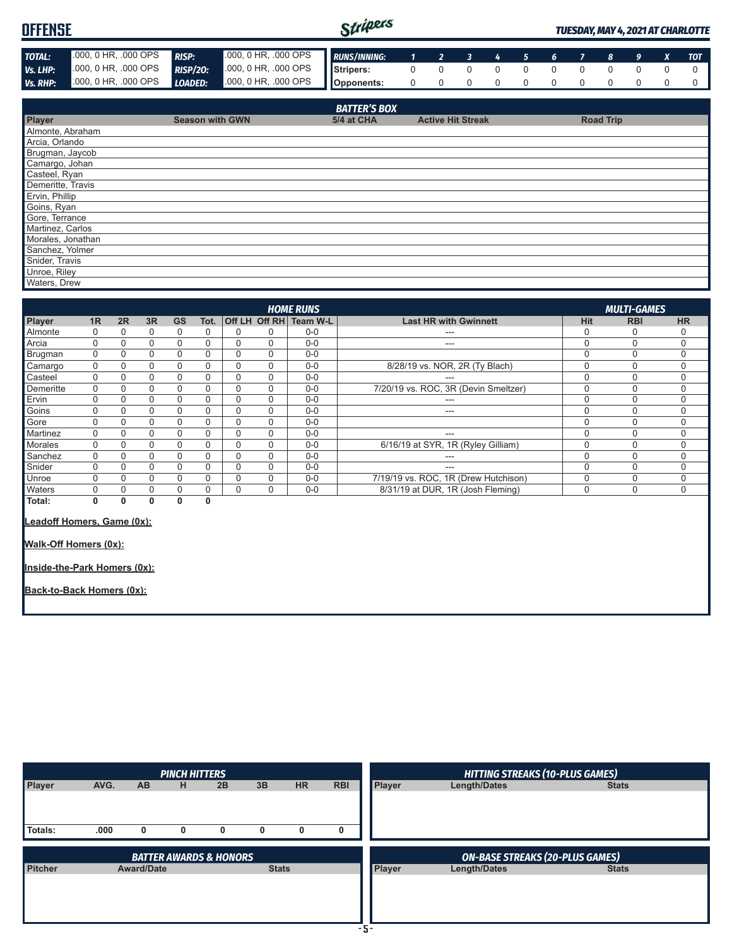## **OFFENSE**



### *TUESDAY, MAY 4, 2021 AT CHARLOTTE*

| <b>TOTAL:</b>     | .000, 0 HR, .000 OPS | <b>RISP:</b>           | .000, 0 HR, .000 OPS | <b>RUNS/INNING:</b> | $\mathbf{1}$ | 2 <sup>1</sup>           | $\mathbf{3}$ | 4           | 5 <sub>1</sub> | 6           | $\overline{7}$ | 8                | 9        | X           | <b>TOT</b> |
|-------------------|----------------------|------------------------|----------------------|---------------------|--------------|--------------------------|--------------|-------------|----------------|-------------|----------------|------------------|----------|-------------|------------|
| Vs. LHP:          | 000, 0 HR, 000 OPS   | <b>RISP/20:</b>        | .000, 0 HR, .000 OPS | Stripers:           | $\mathbf 0$  | $\mathbf 0$              | 0            | 0           | $\mathbf 0$    | $\mathbf 0$ | $\Omega$       | $\Omega$         | $\Omega$ | $\mathbf 0$ | $\Omega$   |
| Vs. RHP:          | .000, 0 HR, .000 OPS | LOADED:                | .000, 0 HR, .000 OPS | Opponents:          | $\mathbf 0$  | $\mathbf 0$              | $\mathbf 0$  | $\mathbf 0$ | $\mathbf 0$    | 0           | 0              | 0                | $\Omega$ | $\mathbf 0$ | 0          |
|                   |                      |                        |                      |                     |              |                          |              |             |                |             |                |                  |          |             |            |
|                   |                      |                        |                      | <b>BATTER'S BOX</b> |              |                          |              |             |                |             |                |                  |          |             |            |
| Player            |                      | <b>Season with GWN</b> |                      | 5/4 at CHA          |              | <b>Active Hit Streak</b> |              |             |                |             |                | <b>Road Trip</b> |          |             |            |
| Almonte, Abraham  |                      |                        |                      |                     |              |                          |              |             |                |             |                |                  |          |             |            |
| Arcia, Orlando    |                      |                        |                      |                     |              |                          |              |             |                |             |                |                  |          |             |            |
| Brugman, Jaycob   |                      |                        |                      |                     |              |                          |              |             |                |             |                |                  |          |             |            |
| Camargo, Johan    |                      |                        |                      |                     |              |                          |              |             |                |             |                |                  |          |             |            |
| Casteel, Ryan     |                      |                        |                      |                     |              |                          |              |             |                |             |                |                  |          |             |            |
| Demeritte, Travis |                      |                        |                      |                     |              |                          |              |             |                |             |                |                  |          |             |            |
| Ervin, Phillip    |                      |                        |                      |                     |              |                          |              |             |                |             |                |                  |          |             |            |
| Goins, Ryan       |                      |                        |                      |                     |              |                          |              |             |                |             |                |                  |          |             |            |
| Gore, Terrance    |                      |                        |                      |                     |              |                          |              |             |                |             |                |                  |          |             |            |
| Martinez, Carlos  |                      |                        |                      |                     |              |                          |              |             |                |             |                |                  |          |             |            |
| Morales, Jonathan |                      |                        |                      |                     |              |                          |              |             |                |             |                |                  |          |             |            |
| Sanchez, Yolmer   |                      |                        |                      |                     |              |                          |              |             |                |             |                |                  |          |             |            |
| Snider, Travis    |                      |                        |                      |                     |              |                          |              |             |                |             |                |                  |          |             |            |
| Unroe, Riley      |                      |                        |                      |                     |              |                          |              |             |                |             |                |                  |          |             |            |
| Waters, Drew      |                      |                        |                      |                     |              |                          |              |             |                |             |                |                  |          |             |            |

|           | <b>HOME RUNS</b><br><b>MULTI-GAMES</b>                     |    |             |           |          |          |          |                        |                                      |             |            |           |  |
|-----------|------------------------------------------------------------|----|-------------|-----------|----------|----------|----------|------------------------|--------------------------------------|-------------|------------|-----------|--|
| Player    | 1R                                                         | 2R | 3R          | <b>GS</b> | Tot.     |          |          | Off LH Off RH Team W-L | <b>Last HR with Gwinnett</b>         | <b>Hit</b>  | <b>RBI</b> | <b>HR</b> |  |
| Almonte   | 0                                                          | 0  | 0           | 0         | 0        | 0        | 0        | $0-0$                  | ---                                  | 0           | O          |           |  |
| Arcia     | 0                                                          | 0  | $\mathbf 0$ | $\Omega$  | 0        | 0        | 0        | $0-0$                  | ---                                  | 0           | $\Omega$   | 0         |  |
| Brugman   | 0                                                          | 0  | 0           | $\Omega$  | 0        | 0        | 0        | $0-0$                  |                                      | 0           | $\Omega$   | 0         |  |
| Camargo   | $\Omega$                                                   | 0  | $\Omega$    | $\Omega$  | 0        | $\Omega$ | 0        | $0-0$                  | 8/28/19 vs. NOR, 2R (Ty Blach)       | $\Omega$    | $\Omega$   | 0         |  |
| Casteel   | 0                                                          | 0  | 0           | 0         | 0        | 0        | $\Omega$ | $0 - 0$                |                                      | 0           | $\Omega$   | 0         |  |
| Demeritte | 0                                                          | 0  | $\Omega$    | $\Omega$  | 0        | 0        | 0        | $0-0$                  | 7/20/19 vs. ROC, 3R (Devin Smeltzer) | $\mathbf 0$ | $\Omega$   | 0         |  |
| Ervin     | 0                                                          | 0  | 0           | 0         | 0        | 0        | 0        | $0-0$                  | ---                                  | 0           | $\Omega$   | 0         |  |
| Goins     | 0                                                          | 0  | $\Omega$    | $\Omega$  | 0        | $\Omega$ | 0        | $0-0$                  | ---                                  | $\Omega$    | $\Omega$   | 0         |  |
| Gore      | 0                                                          | 0  | 0           | 0         | 0        | 0        | 0        | $0-0$                  |                                      | 0           | $\Omega$   | 0         |  |
| Martinez  | 0                                                          | 0  | 0           | 0         | 0        | 0        | 0        | $0-0$                  | ---                                  | 0           | $\Omega$   | 0         |  |
| Morales   | 0                                                          | 0  | $\Omega$    | $\Omega$  | 0        | 0        | 0        | $0-0$                  | 6/16/19 at SYR, 1R (Ryley Gilliam)   | $\Omega$    | $\Omega$   | 0         |  |
| Sanchez   | $\Omega$                                                   | 0  | $\Omega$    | $\Omega$  | $\Omega$ | $\Omega$ | $\Omega$ | $0-0$                  | ---                                  | $\Omega$    | $\Omega$   | 0         |  |
| Snider    | 0                                                          | 0  | 0           | 0         | 0        | 0        | 0        | $0-0$                  | ---                                  | 0           | $\Omega$   | 0         |  |
| Unroe     | 0                                                          | 0  | $\Omega$    | $\Omega$  | 0        | 0        | 0        | $0-0$                  | 7/19/19 vs. ROC, 1R (Drew Hutchison) | $\Omega$    | $\Omega$   | 0         |  |
| Waters    | 0                                                          | 0  | $\Omega$    | $\Omega$  | 0        | 0        | 0        | $0-0$                  | 8/31/19 at DUR, 1R (Josh Fleming)    | $\Omega$    | $\Omega$   | 0         |  |
| Total:    | 0                                                          | 0  | 0           | 0         | 0        |          |          |                        |                                      |             |            |           |  |
|           | Leadoff Homers, Game (0x):<br><b>Walk-Off Homers (0x):</b> |    |             |           |          |          |          |                        |                                      |             |            |           |  |

**Inside-the-Park Homers (0x):**

**Back-to-Back Homers (0x):**

|               |      |                   | <b>PINCH HITTERS</b> |                                   |              |           |            |        | <b>HITTING STREAKS (10-PLUS GAMES)</b> |              |  |
|---------------|------|-------------------|----------------------|-----------------------------------|--------------|-----------|------------|--------|----------------------------------------|--------------|--|
| <b>Player</b> | AVG. | <b>AB</b>         | н                    | 2B                                | 3B           | <b>HR</b> | <b>RBI</b> | Player | Length/Dates                           | <b>Stats</b> |  |
| Totals:       | .000 | $\mathbf{0}$      | 0                    | 0                                 | 0            | 0         | 0          |        |                                        |              |  |
|               |      |                   |                      |                                   |              |           |            |        |                                        |              |  |
|               |      |                   |                      |                                   |              |           |            |        |                                        |              |  |
|               |      |                   |                      | <b>BATTER AWARDS &amp; HONORS</b> |              |           |            |        | <b>ON-BASE STREAKS (20-PLUS GAMES)</b> |              |  |
| Pitcher       |      | <b>Award/Date</b> |                      |                                   | <b>Stats</b> |           |            | Player | Length/Dates                           | <b>Stats</b> |  |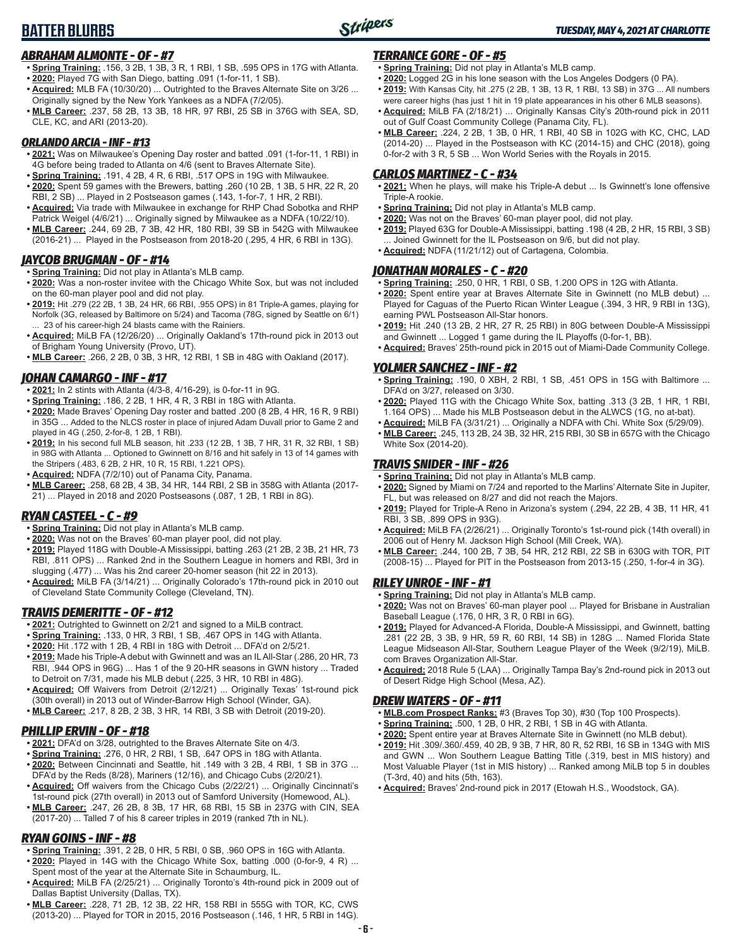## **BATTER BLURBS**



## *ABRAHAM ALMONTE - OF - #7*

- **• Spring Training:** .156, 3 2B, 1 3B, 3 R, 1 RBI, 1 SB, .595 OPS in 17G with Atlanta. **• 2020:** Played 7G with San Diego, batting .091 (1-for-11, 1 SB).
- **• Acquired:** MLB FA (10/30/20) ... Outrighted to the Braves Alternate Site on 3/26 ... Originally signed by the New York Yankees as a NDFA (7/2/05).
- **• MLB Career:** .237, 58 2B, 13 3B, 18 HR, 97 RBI, 25 SB in 376G with SEA, SD, CLE, KC, and ARI (2013-20).

#### *ORLANDO ARCIA - INF - #13*

- **• 2021:** Was on Milwaukee's Opening Day roster and batted .091 (1-for-11, 1 RBI) in 4G before being traded to Atlanta on 4/6 (sent to Braves Alternate Site).
- **• Spring Training:** .191, 4 2B, 4 R, 6 RBI, .517 OPS in 19G with Milwaukee. **• 2020:** Spent 59 games with the Brewers, batting .260 (10 2B, 1 3B, 5 HR, 22 R, 20 RBI, 2 SB) ... Played in 2 Postseason games (.143, 1-for-7, 1 HR, 2 RBI).
- **• Acquired:** Via trade with Milwaukee in exchange for RHP Chad Sobotka and RHP Patrick Weigel (4/6/21) ... Originally signed by Milwaukee as a NDFA (10/22/10).
- **• MLB Career:** .244, 69 2B, 7 3B, 42 HR, 180 RBI, 39 SB in 542G with Milwaukee (2016-21) ... Played in the Postseason from 2018-20 (.295, 4 HR, 6 RBI in 13G).

#### *JAYCOB BRUGMAN - OF - #14*

- **• Spring Training:** Did not play in Atlanta's MLB camp.
- **• 2020:** Was a non-roster invitee with the Chicago White Sox, but was not included on the 60-man player pool and did not play.
- **• 2019:** Hit .279 (22 2B, 1 3B, 24 HR, 66 RBI, .955 OPS) in 81 Triple-A games, playing for Norfolk (3G, released by Baltimore on 5/24) and Tacoma (78G, signed by Seattle on 6/1) 23 of his career-high 24 blasts came with the Rainiers.
- **• Acquired:** MiLB FA (12/26/20) ... Originally Oakland's 17th-round pick in 2013 out of Brigham Young University (Provo, UT).
- **• MLB Career:** .266, 2 2B, 0 3B, 3 HR, 12 RBI, 1 SB in 48G with Oakland (2017).

### *JOHAN CAMARGO - INF - #17*

- **• 2021:** In 2 stints with Atlanta (4/3-8, 4/16-29), is 0-for-11 in 9G.
- **• Spring Training:** .186, 2 2B, 1 HR, 4 R, 3 RBI in 18G with Atlanta.
- **• 2020:** Made Braves' Opening Day roster and batted .200 (8 2B, 4 HR, 16 R, 9 RBI) in 35G ... Added to the NLCS roster in place of injured Adam Duvall prior to Game 2 and played in 4G (.250, 2-for-8, 1 2B, 1 RBI).
- **• 2019:** In his second full MLB season, hit .233 (12 2B, 1 3B, 7 HR, 31 R, 32 RBI, 1 SB) in 98G with Atlanta ... Optioned to Gwinnett on 8/16 and hit safely in 13 of 14 games with the Stripers (.483, 6 2B, 2 HR, 10 R, 15 RBI, 1.221 OPS).
- **• Acquired:** NDFA (7/2/10) out of Panama City, Panama.
- **• MLB Career:** .258, 68 2B, 4 3B, 34 HR, 144 RBI, 2 SB in 358G with Atlanta (2017- 21) ... Played in 2018 and 2020 Postseasons (.087, 1 2B, 1 RBI in 8G).

## *RYAN CASTEEL - C - #9*

- **• Spring Training:** Did not play in Atlanta's MLB camp.
- **• 2020:** Was not on the Braves' 60-man player pool, did not play.
- **• 2019:** Played 118G with Double-A Mississippi, batting .263 (21 2B, 2 3B, 21 HR, 73 RBI, .811 OPS) ... Ranked 2nd in the Southern League in homers and RBI, 3rd in slugging (.477) ... Was his 2nd career 20-homer season (hit 22 in 2013).
- **• Acquired:** MiLB FA (3/14/21) ... Originally Colorado's 17th-round pick in 2010 out of Cleveland State Community College (Cleveland, TN).

#### *TRAVIS DEMERITTE - OF - #12*

- **• 2021:** Outrighted to Gwinnett on 2/21 and signed to a MiLB contract.
- **• Spring Training:** .133, 0 HR, 3 RBI, 1 SB, .467 OPS in 14G with Atlanta.
- **• 2020:** Hit .172 with 1 2B, 4 RBI in 18G with Detroit ... DFA'd on 2/5/21.
- **• 2019:** Made his Triple-A debut with Gwinnett and was an IL All-Star (.286, 20 HR, 73 RBI, .944 OPS in 96G) ... Has 1 of the 9 20-HR seasons in GWN history ... Traded to Detroit on 7/31, made his MLB debut (.225, 3 HR, 10 RBI in 48G).
- **• Acquired:** Off Waivers from Detroit (2/12/21) ... Originally Texas' 1st-round pick (30th overall) in 2013 out of Winder-Barrow High School (Winder, GA).
- **• MLB Career:** .217, 8 2B, 2 3B, 3 HR, 14 RBI, 3 SB with Detroit (2019-20).

## *PHILLIP ERVIN - OF - #18*

- **• 2021:** DFA'd on 3/28, outrighted to the Braves Alternate Site on 4/3.
- **• Spring Training:** .276, 0 HR, 2 RBI, 1 SB, .647 OPS in 18G with Atlanta.
- **• 2020:** Between Cincinnati and Seattle, hit .149 with 3 2B, 4 RBI, 1 SB in 37G ... DFA'd by the Reds (8/28), Mariners (12/16), and Chicago Cubs (2/20/21).
- **• Acquired:** Off waivers from the Chicago Cubs (2/22/21) ... Originally Cincinnati's 1st-round pick (27th overall) in 2013 out of Samford University (Homewood, AL).
- **• MLB Career:** .247, 26 2B, 8 3B, 17 HR, 68 RBI, 15 SB in 237G with CIN, SEA (2017-20) ... Talled 7 of his 8 career triples in 2019 (ranked 7th in NL).

## *RYAN GOINS - INF - #8*

- **• Spring Training:** .391, 2 2B, 0 HR, 5 RBI, 0 SB, .960 OPS in 16G with Atlanta.
- **• 2020:** Played in 14G with the Chicago White Sox, batting .000 (0-for-9, 4 R) ... Spent most of the year at the Alternate Site in Schaumburg, IL.
- **• Acquired:** MiLB FA (2/25/21) ... Originally Toronto's 4th-round pick in 2009 out of Dallas Baptist University (Dallas, TX).
- **• MLB Career:** .228, 71 2B, 12 3B, 22 HR, 158 RBI in 555G with TOR, KC, CWS (2013-20) ... Played for TOR in 2015, 2016 Postseason (.146, 1 HR, 5 RBI in 14G).

#### *TERRANCE GORE - OF - #5*

- **• Spring Training:** Did not play in Atlanta's MLB camp.
- **• 2020:** Logged 2G in his lone season with the Los Angeles Dodgers (0 PA).
- **• 2019:** With Kansas City, hit .275 (2 2B, 1 3B, 13 R, 1 RBI, 13 SB) in 37G ... All numbers were career highs (has just 1 hit in 19 plate appearances in his other 6 MLB seasons).
- **• Acquired:** MiLB FA (2/18/21) ... Originally Kansas City's 20th-round pick in 2011 out of Gulf Coast Community College (Panama City, FL).
- **• MLB Career:** .224, 2 2B, 1 3B, 0 HR, 1 RBI, 40 SB in 102G with KC, CHC, LAD (2014-20) ... Played in the Postseason with KC (2014-15) and CHC (2018), going 0-for-2 with 3 R, 5 SB ... Won World Series with the Royals in 2015.

#### *CARLOS MARTINEZ - C - #34*

- **• 2021:** When he plays, will make his Triple-A debut ... Is Gwinnett's lone offensive Triple-A rookie.
- **• Spring Training:** Did not play in Atlanta's MLB camp.
- **• 2020:** Was not on the Braves' 60-man player pool, did not play.
- **• 2019:** Played 63G for Double-A Mississippi, batting .198 (4 2B, 2 HR, 15 RBI, 3 SB) ... Joined Gwinnett for the IL Postseason on 9/6, but did not play.
- **• Acquired:** NDFA (11/21/12) out of Cartagena, Colombia.

## *JONATHAN MORALES - C - #20*

- **• Spring Training:** .250, 0 HR, 1 RBI, 0 SB, 1.200 OPS in 12G with Atlanta.
- **• 2020:** Spent entire year at Braves Alternate Site in Gwinnett (no MLB debut) ... Played for Caguas of the Puerto Rican Winter League (.394, 3 HR, 9 RBI in 13G), earning PWL Postseason All-Star honors.
- **• 2019:** Hit .240 (13 2B, 2 HR, 27 R, 25 RBI) in 80G between Double-A Mississippi and Gwinnett ... Logged 1 game during the IL Playoffs (0-for-1, BB).
- **• Acquired:** Braves' 25th-round pick in 2015 out of Miami-Dade Community College.

### *YOLMER SANCHEZ - INF - #2*

- **• Spring Training:** .190, 0 XBH, 2 RBI, 1 SB, .451 OPS in 15G with Baltimore ... DFA'd on 3/27, released on 3/30.
- **• 2020:** Played 11G with the Chicago White Sox, batting .313 (3 2B, 1 HR, 1 RBI, 1.164 OPS) ... Made his MLB Postseason debut in the ALWCS (1G, no at-bat).
- **• Acquired:** MiLB FA (3/31/21) ... Originally a NDFA with Chi. White Sox (5/29/09).
- **• MLB Career:** .245, 113 2B, 24 3B, 32 HR, 215 RBI, 30 SB in 657G with the Chicago White Sox (2014-20).

## *TRAVIS SNIDER - INF - #26*

- **• Spring Training:** Did not play in Atlanta's MLB camp.
- **• 2020:** Signed by Miami on 7/24 and reported to the Marlins' Alternate Site in Jupiter, FL, but was released on 8/27 and did not reach the Majors.
- **• 2019:** Played for Triple-A Reno in Arizona's system (.294, 22 2B, 4 3B, 11 HR, 41 RBI, 3 SB, .899 OPS in 93G).
- **• Acquired:** MiLB FA (2/26/21) ... Originally Toronto's 1st-round pick (14th overall) in 2006 out of Henry M. Jackson High School (Mill Creek, WA).
- **• MLB Career:** .244, 100 2B, 7 3B, 54 HR, 212 RBI, 22 SB in 630G with TOR, PIT (2008-15) ... Played for PIT in the Postseason from 2013-15 (.250, 1-for-4 in 3G).

#### *RILEY UNROE - INF - #1*

- **• Spring Training:** Did not play in Atlanta's MLB camp.
- **• 2020:** Was not on Braves' 60-man player pool ... Played for Brisbane in Australian Baseball League (.176, 0 HR, 3 R, 0 RBI in 6G).
- **• 2019:** Played for Advanced-A Florida, Double-A Mississippi, and Gwinnett, batting .281 (22 2B, 3 3B, 9 HR, 59 R, 60 RBI, 14 SB) in 128G ... Named Florida State League Midseason All-Star, Southern League Player of the Week (9/2/19), MiLB. com Braves Organization All-Star.
- **• Acquired:** 2018 Rule 5 (LAA) ... Originally Tampa Bay's 2nd-round pick in 2013 out of Desert Ridge High School (Mesa, AZ).

#### *DREW WATERS - OF - #11*

- **• MLB.com Prospect Ranks:** #3 (Braves Top 30), #30 (Top 100 Prospects).
- **• Spring Training:** .500, 1 2B, 0 HR, 2 RBI, 1 SB in 4G with Atlanta.
- **• 2020:** Spent entire year at Braves Alternate Site in Gwinnett (no MLB debut).
- **• 2019:** Hit .309/.360/.459, 40 2B, 9 3B, 7 HR, 80 R, 52 RBI, 16 SB in 134G with MIS and GWN ... Won Southern League Batting Title (.319, best in MIS history) and Most Valuable Player (1st in MIS history) ... Ranked among MiLB top 5 in doubles (T-3rd, 40) and hits (5th, 163).
- **• Acquired:** Braves' 2nd-round pick in 2017 (Etowah H.S., Woodstock, GA).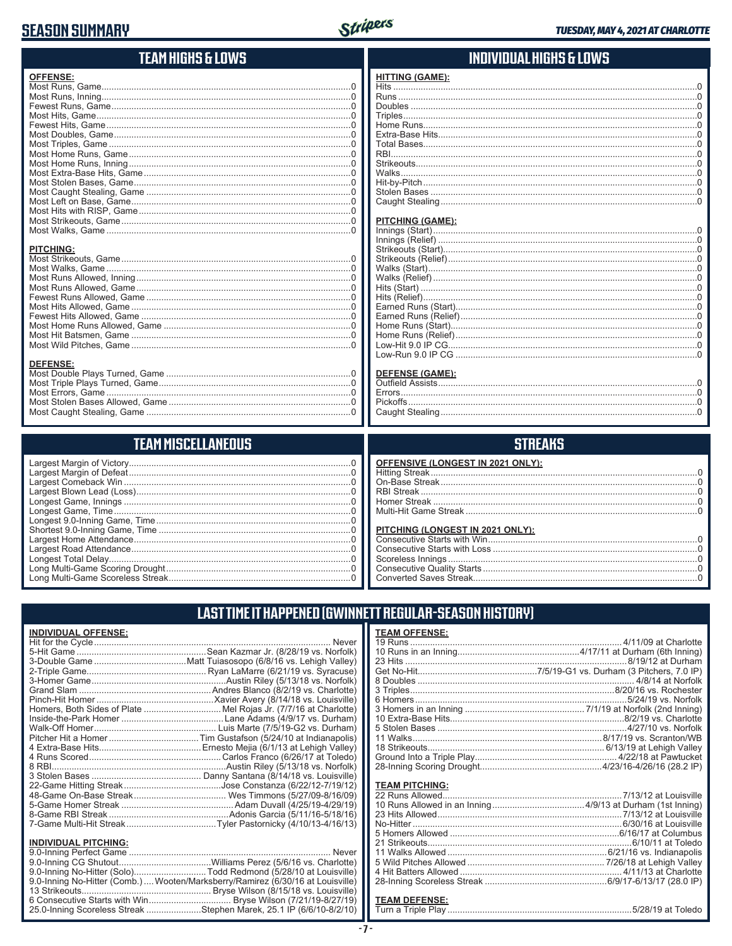## **SEASON SUMMARY**



| TEAM HIGHS & LOWS     | INDIVIDUAL HIGHS & LOWS |
|-----------------------|-------------------------|
| <b>OFFENSE:</b>       | <b>HITTING (GAME):</b>  |
|                       |                         |
|                       |                         |
|                       |                         |
|                       |                         |
|                       |                         |
|                       |                         |
|                       |                         |
|                       |                         |
|                       |                         |
|                       |                         |
|                       |                         |
|                       |                         |
|                       |                         |
|                       |                         |
|                       | <b>PITCHING (GAME):</b> |
|                       |                         |
|                       |                         |
| <b>PITCHING:</b>      |                         |
|                       |                         |
|                       |                         |
|                       |                         |
|                       |                         |
|                       |                         |
|                       |                         |
|                       |                         |
|                       |                         |
|                       |                         |
|                       |                         |
|                       |                         |
| <b>DEFENSE:</b>       |                         |
|                       | <b>DEFENSE (GAME):</b>  |
|                       |                         |
|                       |                         |
|                       |                         |
|                       |                         |
|                       |                         |
| TFAM MISCFI I ANFNIIS | STRFAKS                 |

| <b>OFFENSIVE (LONGEST IN 2021 ONLY):</b>                                         |
|----------------------------------------------------------------------------------|
| PITCHING (LONGEST IN 2021 ONLY):<br>Scoreless Innings<br>Converted Saves Streak. |

| LAST TIME IT HAPPENED (GWINNETT REGULAR-SEASON HISTORY) |
|---------------------------------------------------------|
|                                                         |

## **INDIVIDUAL OFFENSE:**

| <b>INDIVIDUAL PITCHING:</b> |                                                                                 |
|-----------------------------|---------------------------------------------------------------------------------|
|                             |                                                                                 |
|                             |                                                                                 |
|                             | 9.0-Inning No-Hitter (Solo)Todd Redmond (5/28/10 at Louisville)                 |
|                             | 9.0-Inning No-Hitter (Comb.)  Wooten/Marksberry/Ramirez (6/30/16 at Louisville) |

#### **TEAM OFFENSE:** 4/11/09 at Charlotte

#### **TEAM PITCHING:**

#### <u>TEAM DEFENSE:</u>